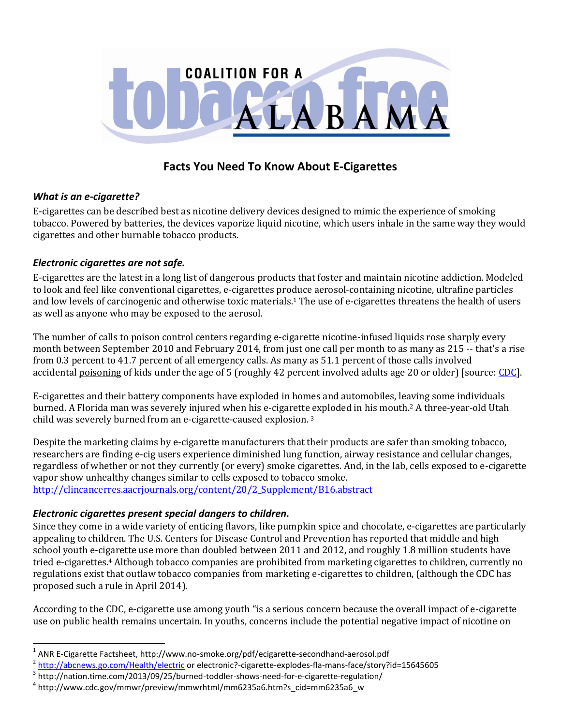

# **Facts You Need To Know About E-Cigarettes**

#### *What is an e-cigarette?*

 $\overline{a}$ 

E-cigarettes can be described best as nicotine delivery devices designed to mimic the experience of smoking tobacco. Powered by batteries, the devices vaporize liquid nicotine, which users inhale in the same way they would cigarettes and other burnable tobacco products.

#### *Electronic cigarettes are not safe.*

E-cigarettes are the latest in a long list of dangerous products that foster and maintain nicotine addiction. Modeled to look and feel like conventional cigarettes, e-cigarettes produce aerosol-containing nicotine, ultrafine particles and low levels of carcinogenic and otherwise toxic materials.<sup>1</sup> The use of e-cigarettes threatens the health of users as well as anyone who may be exposed to the aerosol.

The number of calls to poison control centers regarding e-cigarette nicotine-infused liquids rose sharply every month between September 2010 and February 2014, from just one call per month to as many as 215 -- that's a rise from 0.3 percent to 41.7 percent of all emergency calls. As many as 51.1 percent of those calls involved accidental [poisoning](http://recipes.howstuffworks.com/child-poisoned-pesticides.htm) of kids under the age of 5 (roughly 42 percent involved adults age 20 or older) [source: [CDC\]](http://www.cdc.gov/media/releases/2014/p0403-e-cigarette-poison.html).

E-cigarettes and their battery components have exploded in homes and automobiles, leaving some individuals burned. A Florida man was severely injured when his e-cigarette exploded in his mouth.<sup>2</sup> A three-year-old Utah child was severely burned from an e-cigarette-caused explosion. <sup>3</sup>

Despite the marketing claims by e-cigarette manufacturers that their products are safer than smoking tobacco, researchers are finding e-cig users experience diminished lung function, airway resistance and cellular changes, regardless of whether or not they currently (or every) smoke cigarettes. And, in the lab, cells exposed to e-cigarette vapor show unhealthy changes similar to cells exposed to tobacco smoke. [http://clincancerres.aacrjournals.org/content/20/2\\_Supplement/B16.abstract](http://clincancerres.aacrjournals.org/content/20/2_Supplement/B16.abstract)

#### *Electronic cigarettes present special dangers to children.*

Since they come in a wide variety of enticing flavors, like pumpkin spice and chocolate, e-cigarettes are particularly appealing to children. The U.S. Centers for Disease Control and Prevention has reported that middle and high school youth e-cigarette use more than doubled between 2011 and 2012, and roughly 1.8 million students have tried e-cigarettes.<sup>4</sup> Although tobacco companies are prohibited from marketing cigarettes to children, currently no regulations exist that outlaw tobacco companies from marketing e-cigarettes to children, (although the CDC has proposed such a rule in April 2014).

According to the CDC, e-cigarette use among youth "is a serious concern because the overall impact of e-cigarette use on public health remains uncertain. In youths, concerns include the potential negative impact of nicotine on

<sup>&</sup>lt;sup>1</sup> ANR E-Cigarette Factsheet, http://www.no-smoke.org/pdf/ecigarette-secondhand-aerosol.pdf

<sup>&</sup>lt;sup>2</sup> <http://abcnews.go.com/Health/electric> or electronic?-cigarette-explodes-fla-mans-face/story?id=15645605

 $^3$  http://nation.time.com/2013/09/25/burned-toddler-shows-need-for-e-cigarette-regulation/

<sup>4</sup> http://www.cdc.gov/mmwr/preview/mmwrhtml/mm6235a6.htm?s\_cid=mm6235a6\_w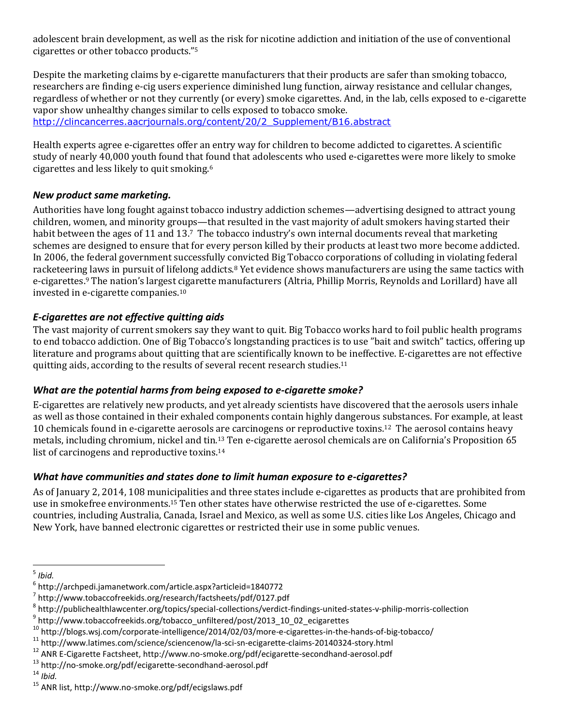adolescent brain development, as well as the risk for nicotine addiction and initiation of the use of conventional cigarettes or other tobacco products."<sup>5</sup>

Despite the marketing claims by e-cigarette manufacturers that their products are safer than smoking tobacco, researchers are finding e-cig users experience diminished lung function, airway resistance and cellular changes, regardless of whether or not they currently (or every) smoke cigarettes. And, in the lab, cells exposed to e-cigarette vapor show unhealthy changes similar to cells exposed to tobacco smoke. [http://clincancerres.aacrjournals.org/content/20/2\\_Supplement/B16.abstract](http://clincancerres.aacrjournals.org/content/20/2_Supplement/B16.abstract)

Health experts agree e-cigarettes offer an entry way for children to become addicted to cigarettes. A scientific study of nearly 40,000 youth found that found that adolescents who used e-cigarettes were more likely to smoke cigarettes and less likely to quit smoking.<sup>6</sup>

### *New product same marketing.*

Authorities have long fought against tobacco industry addiction schemes—advertising designed to attract young children, women, and minority groups—that resulted in the vast majority of adult smokers having started their habit between the ages of 11 and 13.7 The tobacco industry's own internal documents reveal that marketing schemes are designed to ensure that for every person killed by their products at least two more become addicted. In 2006, the federal government successfully convicted Big Tobacco corporations of colluding in violating federal racketeering laws in pursuit of lifelong addicts.<sup>8</sup> Yet evidence shows manufacturers are using the same tactics with e-cigarettes. <sup>9</sup> The nation's largest cigarette manufacturers (Altria, Phillip Morris, Reynolds and Lorillard) have all invested in e-cigarette companies.<sup>10</sup>

## *E-cigarettes are not effective quitting aids*

The vast majority of current smokers say they want to quit. Big Tobacco works hard to foil public health programs to end tobacco addiction. One of Big Tobacco's longstanding practices is to use "bait and switch" tactics, offering up literature and programs about quitting that are scientifically known to be ineffective. E-cigarettes are not effective quitting aids, according to the results of several recent research studies.<sup>11</sup>

### *What are the potential harms from being exposed to e-cigarette smoke?*

E-cigarettes are relatively new products, and yet already scientists have discovered that the aerosols users inhale as well as those contained in their exhaled components contain highly dangerous substances. For example, at least 10 chemicals found in e-cigarette aerosols are carcinogens or reproductive toxins.<sup>12</sup> The aerosol contains heavy metals, including chromium, nickel and tin.<sup>13</sup> Ten e-cigarette aerosol chemicals are on California's Proposition 65 list of carcinogens and reproductive toxins. 14

### *What have communities and states done to limit human exposure to e-cigarettes?*

As of January 2, 2014, 108 municipalities and three states include e-cigarettes as products that are prohibited from use in smokefree environments.<sup>15</sup> Ten other states have otherwise restricted the use of e-cigarettes. Some countries, including Australia, Canada, Israel and Mexico, as well as some U.S. cities like Los Angeles, Chicago and New York, have banned electronic cigarettes or restricted their use in some public venues.

 5 *Ibid.*

<sup>6</sup> http://archpedi.jamanetwork.com/article.aspx?articleid=1840772

<sup>7</sup> http://www.tobaccofreekids.org/research/factsheets/pdf/0127.pdf

<sup>8</sup> http://publichealthlawcenter.org/topics/special-collections/verdict-findings-united-states-v-philip-morris-collection

<sup>&</sup>lt;sup>9</sup> http://www.tobaccofreekids.org/tobacco\_unfiltered/post/2013\_10\_02\_ecigarettes

<sup>10</sup> http://blogs.wsj.com/corporate-intelligence/2014/02/03/more-e-cigarettes-in-the-hands-of-big-tobacco/

<sup>11</sup> http://www.latimes.com/science/sciencenow/la-sci-sn-ecigarette-claims-20140324-story.html

<sup>12</sup> ANR E-Cigarette Factsheet, http://www.no-smoke.org/pdf/ecigarette-secondhand-aerosol.pdf

<sup>13</sup> http://no-smoke.org/pdf/ecigarette-secondhand-aerosol.pdf

<sup>14</sup> *Ibid.*

<sup>15</sup> ANR list, http://www.no-smoke.org/pdf/ecigslaws.pdf